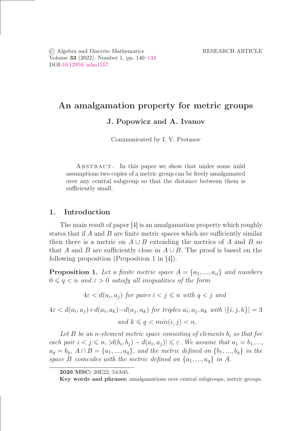# An amalgamation property for metric groups J. Popowicz and A. Ivanov

Communicated by I. V. Protasov

Abstract . In this paper we show that under some mild assumptions two copies of a metric group can be freely amalgamated over any central subgroup so that the distance between them is sufficiently small.

## 1. Introduction

The main result of paper [4] is an amalgamation property which roughly states that if  $A$  and  $B$  are finite metric spaces which are sufficiently similar then there is a metric on  $A \cup B$  extending the metrics of A and B so that A and B are sufficiently close in  $A \cup B$ . The proof is based on the following proposition (Proposition 1 in [4]).

<span id="page-0-0"></span>**Proposition 1.** Let a finite metric space  $A = \{a_1, ..., a_n\}$  and numbers  $0 \leq a \leq n$  and  $\varepsilon > 0$  satisfy all inequalities of the form

 $4\varepsilon < d(a_i, a_j)$  for pairs  $i < j \leq n$  with  $q < j$  and

 $4\varepsilon < d(a_i, a_j)+d(a_i, a_k)-d(a_j, a_k)$  for triples  $a_i, a_j, a_k$  with  $|\{i, j, k\}| = 3$ 

and  $k \leq q < min(i, j) < n$ .

Let  $B$  be an n-element metric space consisting of elements  $b_i$  so that for each pair  $i < j \leq n$ ,  $|d(b_i, b_j) - d(a_i, a_j)| \leq \varepsilon$ . We assume that  $a_1 = b_1, \ldots,$  $a_q = b_q$ ,  $A \cap B = \{a_1, ..., a_q\}$ , and the metric defined on  $\{b_1, ..., b_q\}$  in the space B coincides with the metric defined on  $\{a_1, ..., a_q\}$  in A.

<sup>2020</sup> MSC: 20E22, 54A05.

Key words and phrases: amalgamations over central subgroups, metric groups.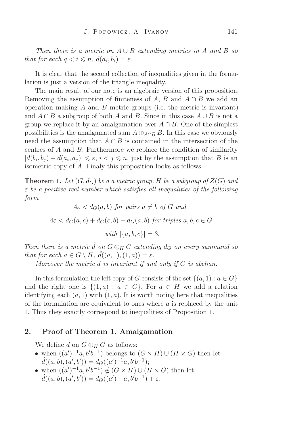Then there is a metric on  $A \cup B$  extending metrics in A and B so that for each  $q < i \leq n$ ,  $d(a_i, b_i) = \varepsilon$ .

It is clear that the second collection of inequalities given in the formulation is just a version of the triangle inequality.

The main result of our note is an algebraic version of this proposition. Removing the assumption of finiteness of A, B and  $A \cap B$  we add an operation making  $A$  and  $B$  metric groups (i.e. the metric is invariant) and  $A \cap B$  a subgroup of both A and B. Since in this case  $A \cup B$  is not a group we replace it by an amalgamation over  $A \cap B$ . One of the simplest possibilities is the amalgamated sum  $A \oplus_{A \cap B} B$ . In this case we obviously need the assumption that  $A \cap B$  is contained in the intersection of the centres of A and B. Furthermore we replace the condition of similarity  $|d(b_i, b_j) - d(a_i, a_j)| \leq \varepsilon, i < j \leq n$ , just by the assumption that B is an isometric copy of A. Finaly this proposition looks as follows.

<span id="page-1-0"></span>**Theorem 1.** Let  $(G, d_G)$  be a a metric group, H be a subgroup of  $Z(G)$  and  $\varepsilon$  be a positive real number which satisfies all inequalities of the following form

$$
4\varepsilon < d_G(a, b) \text{ for pairs } a \neq b \text{ of } G \text{ and}
$$
\n
$$
4\varepsilon < d_G(a, c) + d_G(c, b) - d_G(a, b) \text{ for triples } a, b, c \in G
$$
\n
$$
\text{with } |\{a, b, c\}| = 3.
$$

Then there is a metric  $\hat{d}$  on  $G \oplus_H G$  extending  $d_G$  on every summand so that for each  $a \in G \setminus H$ ,  $\hat{d}((a,1),(1,a)) = \varepsilon$ .

Moreover the metric  $d$  is invariant if and only if  $G$  is abelian.

In this formulation the left copy of G consists of the set  $\{(a, 1) : a \in G\}$ and the right one is  $\{(1,a): a \in G\}$ . For  $a \in H$  we add a relation identifying each  $(a, 1)$  with  $(1, a)$ . It is worth noting here that inequalities of the formulation are equivalent to ones where  $\alpha$  is replaced by the unit 1. Thus they exactly correspond to inequalities of Proposition 1.

## 2. Proof of Theorem 1. Amalgamation

We define  $\hat{d}$  on  $G \oplus_H G$  as follows:

- when  $((a')^{-1}a, b'b^{-1})$  belongs to  $(G \times H) \cup (H \times G)$  then let  $\hat{d}((a, b), (a', b')) = d_G((a')^{-1}a, b'b^{-1});$
- when  $((a')^{-1}a, b'b^{-1}) \notin (G \times H) \cup (H \times G)$  then let  $\hat{d}((a, b), (a', b')) = d_G((a')^{-1}a, b'b^{-1}) + \varepsilon.$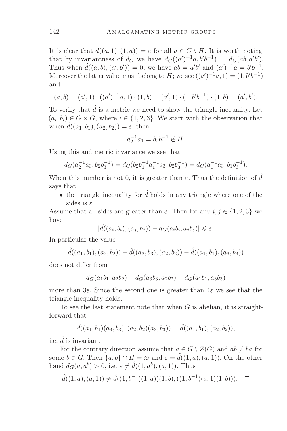It is clear that  $d((a, 1), (1, a)) = \varepsilon$  for all  $a \in G \setminus H$ . It is worth noting that by invariantness of  $d_G$  we have  $d_G((a')^{-1}a, b'b^{-1}) = d_G(ab, a'b')$ . Thus when  $\hat{d}((a, b), (a', b')) = 0$ , we have  $ab = a'b'$  and  $(a')^{-1}a = b'b^{-1}$ . Moreover the latter value must belong to H; we see  $((a')^{-1}a, 1) = (1, b'b^{-1})$ and

$$
(a,b) = (a',1) \cdot ((a')^{-1}a,1) \cdot (1,b) = (a',1) \cdot (1,b'b^{-1}) \cdot (1,b) = (a',b').
$$

To verify that  $\hat{d}$  is a metric we need to show the triangle inequality. Let  $(a_i, b_i) \in G \times G$ , where  $i \in \{1, 2, 3\}$ . We start with the observation that when  $d((a_1, b_1), (a_2, b_2)) = \varepsilon$ , then

$$
a_2^{-1}a_1 = b_2b_1^{-1} \notin H.
$$

Using this and metric invariance we see that

$$
d_G(a_2^{-1}a_3, b_2b_3^{-1}) = d_G(b_2b_1^{-1}a_1^{-1}a_3, b_2b_3^{-1}) = d_G(a_1^{-1}a_3, b_1b_3^{-1}).
$$

When this number is not 0, it is greater than  $\varepsilon$ . Thus the definition of d says that

• the triangle inequality for  $\hat{d}$  holds in any triangle where one of the sides is  $\varepsilon$ .

Assume that all sides are greater than  $\varepsilon$ . Then for any  $i, j \in \{1, 2, 3\}$  we have

 $|\hat{d}((a_i, b_i), (a_j, b_j)) - d_G(a_i b_i, a_j b_j)| \leq \varepsilon.$ 

In particular the value

 $\hat{d}((a_1, b_1), (a_2, b_2)) + \hat{d}((a_3, b_3), (a_2, b_2)) - \hat{d}((a_1, b_1), (a_3, b_3))$ 

does not differ from

$$
d_G(a_1b_1, a_2b_2) + d_G(a_3b_3, a_2b_2) - d_G(a_1b_1, a_3b_3)
$$

more than  $3\varepsilon$ . Since the second one is greater than  $4\varepsilon$  we see that the triangle inequality holds.

To see the last statement note that when  $G$  is abelian, it is straightforward that

$$
\hat{d}((a_1,b_1)(a_3,b_3),(a_2,b_2)(a_3,b_3)) = \hat{d}((a_1,b_1),(a_2,b_2)),
$$

i.e.  $d$  is invariant.

For the contrary direction assume that  $a \in G \setminus Z(G)$  and  $ab \neq ba$  for some  $b \in G$ . Then  $\{a, b\} \cap H = \emptyset$  and  $\varepsilon = \hat{d}((1, a), (a, 1))$ . On the other hand  $d_G(a, a^b) > 0$ , i.e.  $\varepsilon \neq \hat{d}((1, a^b), (a, 1))$ . Thus

$$
\hat d((1,a),(a,1))\neq \hat d((1,b^{-1})(1,a))(1,b),((1,b^{-1})(a,1)(1,b))).\quad \ \ \Box
$$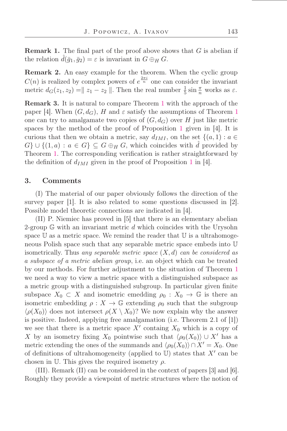**Remark 1.** The final part of the proof above shows that  $G$  is abelian if the relation  $d(\bar{g}_1, \bar{g}_2) = \varepsilon$  is invariant in  $G \oplus_H G$ .

Remark 2. An easy example for the theorem. When the cyclic group  $C(n)$  is realized by complex powers of  $e^{\frac{2\pi i}{n}}$  one can consider the invariant metric  $d_G(z_1, z_2) = ||z_1 - z_2||$ . Then the real number  $\frac{1}{5} \sin \frac{\pi}{n}$  works as  $\varepsilon$ .

Remark 3. It is natural to compare Theorem [1](#page-1-0) with the approach of the paper [4]. When  $(G, d_G)$ , H and  $\varepsilon$  satisfy the assumptions of Theorem [1](#page-1-0) one can try to amalgamate two copies of  $(G, d_G)$  over H just like metric spaces by the method of the proof of Proposition [1](#page-0-0) given in [4]. It is curious that then we obtain a metric, say  $d_{IMI}$ , on the set  $\{(a, 1) : a \in$  $G\} \cup \{(1,a): a \in G\} \subseteq G \oplus_H G$ , which coincides with d provided by Theorem [1.](#page-1-0) The corresponding verification is rather straightforward by the definition of  $d_{IMI}$  given in the proof of Proposition [1](#page-0-0) in [4].

# 3. Comments

(I) The material of our paper obviously follows the direction of the survey paper [1]. It is also related to some questions discussed in [2]. Possible model theoretic connections are indicated in [4].

(II) P. Niemiec has proved in [5] that there is an elementary abelian 2-group  $\mathbb G$  with an invariant metric  $d$  which coincides with the Urysohn space  $\mathbb U$  as a metric space. We remind the reader that  $\mathbb U$  is a ultrahomogeneous Polish space such that any separable metric space embeds into U isometrically. Thus any separable metric space  $(X, d)$  can be considered as a subspace of a metric abelian group, i.e. an object which can be treated by our methods. For further adjustment to the situation of Theorem [1](#page-1-0) we need a way to view a metric space with a distinguished subspace as a metric group with a distinguished subgroup. In particular given finite subspace  $X_0 \subset X$  and isometric emedding  $\rho_0 : X_0 \to \mathbb{G}$  is there an isometric embedding  $\rho: X \to \mathbb{G}$  extending  $\rho_0$  such that the subgroup  $\langle \rho(X_0) \rangle$  does not intersect  $\rho(X \setminus X_0)$ ? We now explain why the answer is positive. Indeed, applying free amalgamation (i.e. Theorem 2.1 of [1]) we see that there is a metric space  $X'$  containg  $X_0$  which is a copy of X by an isometry fixing  $X_0$  pointwise such that  $\langle \rho_0(X_0) \rangle \cup X'$  has a metric extending the ones of the summands and  $\langle \rho_0(X_0) \rangle \cap X' = X_0$ . One of definitions of ultrahomogeneity (applied to  $\mathbb{U}$ ) states that X' can be chosen in U. This gives the required isometry  $\rho$ .

(III). Remark (II) can be considered in the context of papers [3] and [6]. Roughly they provide a viewpoint of metric structures where the notion of